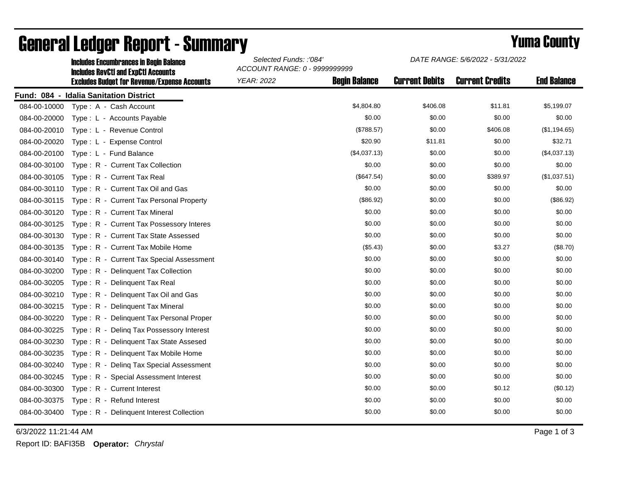|              | <b>Includes Encumbrances in Begin Balance</b><br><b>Includes RevCtI and ExpCtI Accounts</b> | Selected Funds: :'084'<br>ACCOUNT RANGE: 0 - 9999999999 |                      | DATE RANGE: 5/6/2022 - 5/31/2022 |                        |                    |
|--------------|---------------------------------------------------------------------------------------------|---------------------------------------------------------|----------------------|----------------------------------|------------------------|--------------------|
|              | <b>Excludes Budget for Revenue/Expense Accounts</b>                                         | <b>YEAR: 2022</b>                                       | <b>Begin Balance</b> | <b>Current Debits</b>            | <b>Current Credits</b> | <b>End Balance</b> |
|              | Fund: 084 - Idalia Sanitation District                                                      |                                                         |                      |                                  |                        |                    |
| 084-00-10000 | Type: A - Cash Account                                                                      |                                                         | \$4,804.80           | \$406.08                         | \$11.81                | \$5,199.07         |
| 084-00-20000 | Type: L - Accounts Payable                                                                  |                                                         | \$0.00               | \$0.00                           | \$0.00                 | \$0.00             |
| 084-00-20010 | Type: L - Revenue Control                                                                   |                                                         | (\$788.57)           | \$0.00                           | \$406.08               | (\$1,194.65)       |
| 084-00-20020 | Type: L - Expense Control                                                                   |                                                         | \$20.90              | \$11.81                          | \$0.00                 | \$32.71            |
| 084-00-20100 | Type: L - Fund Balance                                                                      |                                                         | (\$4,037.13)         | \$0.00                           | \$0.00                 | (\$4,037.13)       |
| 084-00-30100 | Type: R - Current Tax Collection                                                            |                                                         | \$0.00               | \$0.00                           | \$0.00                 | \$0.00             |
| 084-00-30105 | Type: R - Current Tax Real                                                                  |                                                         | (\$647.54)           | \$0.00                           | \$389.97               | (\$1,037.51)       |
| 084-00-30110 | Type: R - Current Tax Oil and Gas                                                           |                                                         | \$0.00               | \$0.00                           | \$0.00                 | \$0.00             |
| 084-00-30115 | Type: R - Current Tax Personal Property                                                     |                                                         | (\$86.92)            | \$0.00                           | \$0.00                 | (\$86.92)          |
| 084-00-30120 | Type: R - Current Tax Mineral                                                               |                                                         | \$0.00               | \$0.00                           | \$0.00                 | \$0.00             |
| 084-00-30125 | Type: R - Current Tax Possessory Interes                                                    |                                                         | \$0.00               | \$0.00                           | \$0.00                 | \$0.00             |
| 084-00-30130 | Type: R - Current Tax State Assessed                                                        |                                                         | \$0.00               | \$0.00                           | \$0.00                 | \$0.00             |
| 084-00-30135 | Type: R - Current Tax Mobile Home                                                           |                                                         | (\$5.43)             | \$0.00                           | \$3.27                 | (\$8.70)           |
| 084-00-30140 | Type: R - Current Tax Special Assessment                                                    |                                                         | \$0.00               | \$0.00                           | \$0.00                 | \$0.00             |
| 084-00-30200 | Type: R - Delinquent Tax Collection                                                         |                                                         | \$0.00               | \$0.00                           | \$0.00                 | \$0.00             |
| 084-00-30205 | Type: R - Delinquent Tax Real                                                               |                                                         | \$0.00               | \$0.00                           | \$0.00                 | \$0.00             |
| 084-00-30210 | Type: R - Delinquent Tax Oil and Gas                                                        |                                                         | \$0.00               | \$0.00                           | \$0.00                 | \$0.00             |
| 084-00-30215 | Type: R - Delinquent Tax Mineral                                                            |                                                         | \$0.00               | \$0.00                           | \$0.00                 | \$0.00             |
| 084-00-30220 | Type: R - Delinquent Tax Personal Proper                                                    |                                                         | \$0.00               | \$0.00                           | \$0.00                 | \$0.00             |
| 084-00-30225 | Type: R - Deling Tax Possessory Interest                                                    |                                                         | \$0.00               | \$0.00                           | \$0.00                 | \$0.00             |
| 084-00-30230 | Type: R - Delinquent Tax State Assesed                                                      |                                                         | \$0.00               | \$0.00                           | \$0.00                 | \$0.00             |
| 084-00-30235 | Type: R - Delinquent Tax Mobile Home                                                        |                                                         | \$0.00               | \$0.00                           | \$0.00                 | \$0.00             |
| 084-00-30240 | Type: R - Deling Tax Special Assessment                                                     |                                                         | \$0.00               | \$0.00                           | \$0.00                 | \$0.00             |
| 084-00-30245 | Type: R - Special Assessment Interest                                                       |                                                         | \$0.00               | \$0.00                           | \$0.00                 | \$0.00             |
| 084-00-30300 | Type: R - Current Interest                                                                  |                                                         | \$0.00               | \$0.00                           | \$0.12                 | (\$0.12)           |
| 084-00-30375 | Type: R - Refund Interest                                                                   |                                                         | \$0.00               | \$0.00                           | \$0.00                 | \$0.00             |
| 084-00-30400 | Type: R - Delinquent Interest Collection                                                    |                                                         | \$0.00               | \$0.00                           | \$0.00                 | \$0.00             |

## General Ledger Report - Summary **Example 2018** Yuma County

6/3/2022 11:21:44 AM Page 1 of 3

Report ID: BAFI35B **Operator:** *Chrystal*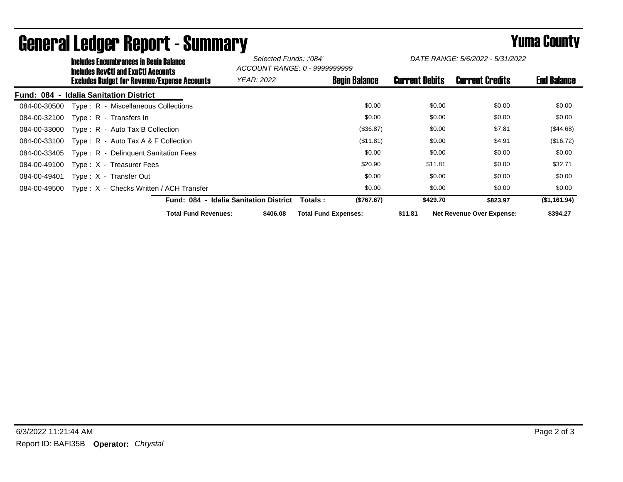|                             | <b>Includes Encumbrances in Begin Balance</b><br><b>Includes RevCtI and ExpCtI Accounts</b><br><b>Excludes Budget for Revenue/Expense Accounts</b> |                             | Selected Funds: :'084'<br>ACCOUNT RANGE: 0 - 9999999999 |                             |                       | DATE RANGE: 5/6/2022 - 5/31/2022 |                    |
|-----------------------------|----------------------------------------------------------------------------------------------------------------------------------------------------|-----------------------------|---------------------------------------------------------|-----------------------------|-----------------------|----------------------------------|--------------------|
|                             |                                                                                                                                                    |                             | <b>YEAR: 2022</b>                                       | <b>Begin Balance</b>        | <b>Current Debits</b> | <b>Current Credits</b>           | <b>End Balance</b> |
| Fund: 084<br>$\blacksquare$ | <b>Idalia Sanitation District</b>                                                                                                                  |                             |                                                         |                             |                       |                                  |                    |
| 084-00-30500                | Type: R - Miscellaneous Collections                                                                                                                |                             |                                                         | \$0.00                      | \$0.00                | \$0.00                           | \$0.00             |
| 084-00-32100                | Type: R - Transfers In                                                                                                                             |                             |                                                         | \$0.00                      | \$0.00                | \$0.00                           | \$0.00             |
| 084-00-33000                | Type: R - Auto Tax B Collection                                                                                                                    |                             |                                                         | (\$36.87)                   | \$0.00                | \$7.81                           | (\$44.68)          |
| 084-00-33100                | Type : $R -$ Auto Tax A & F Collection                                                                                                             |                             |                                                         | (\$11.81)                   | \$0.00                | \$4.91                           | (\$16.72)          |
| 084-00-33405                | Type: R - Delinguent Sanitation Fees                                                                                                               |                             |                                                         | \$0.00                      | \$0.00                | \$0.00                           | \$0.00             |
| 084-00-49100                | Type: X - Treasurer Fees                                                                                                                           |                             |                                                         | \$20.90                     | \$11.81               | \$0.00                           | \$32.71            |
| 084-00-49401                | Type: X - Transfer Out                                                                                                                             |                             |                                                         | \$0.00                      | \$0.00                | \$0.00                           | \$0.00             |
| 084-00-49500                | Type: X - Checks Written / ACH Transfer                                                                                                            |                             |                                                         | \$0.00                      | \$0.00                | \$0.00                           | \$0.00             |
|                             |                                                                                                                                                    |                             | <b>Fund: 084 - Idalia Sanitation District</b>           | (\$767.67)<br>Totals :      | \$429.70              | \$823.97                         | (\$1,161.94)       |
|                             |                                                                                                                                                    | <b>Total Fund Revenues:</b> | \$406.08                                                | <b>Total Fund Expenses:</b> | \$11.81               | <b>Net Revenue Over Expense:</b> | \$394.27           |

## General Ledger Report - Summary **Second Europe County** Yuma County